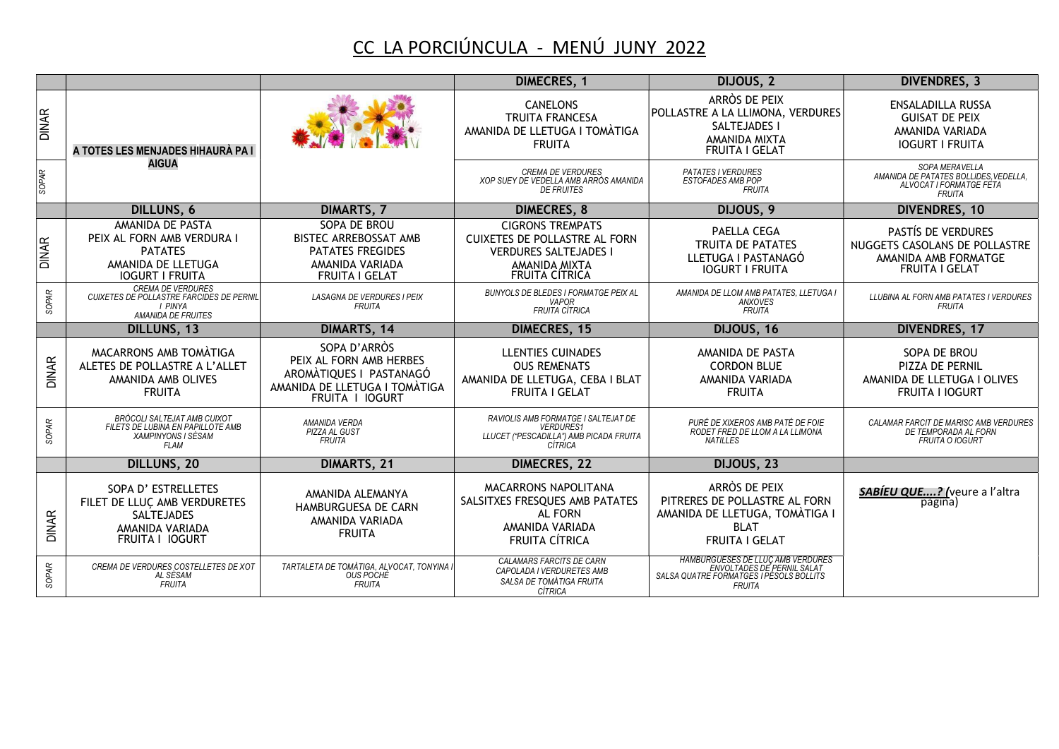## CC LA PORCIÚNCULA - MENÚ JUNY 2022

|              |                                                                                                                      |                                                                                                                        | <b>DIMECRES, 1</b>                                                                                                                 | DIJOUS, 2                                                                                                                          | <b>DIVENDRES, 3</b>                                                                                  |
|--------------|----------------------------------------------------------------------------------------------------------------------|------------------------------------------------------------------------------------------------------------------------|------------------------------------------------------------------------------------------------------------------------------------|------------------------------------------------------------------------------------------------------------------------------------|------------------------------------------------------------------------------------------------------|
| <b>DINAR</b> | A TOTES LES MENJADES HIHAURÀ PA I                                                                                    |                                                                                                                        | <b>CANELONS</b><br><b>TRUITA FRANCESA</b><br>AMANIDA DE LLETUGA I TOMÀTIGA<br><b>FRUITA</b>                                        | ARRÒS DE PEIX<br>POLLASTRE A LA LLIMONA, VERDURES<br>SALTEJADES I<br>AMANIDA MIXTA<br><b>FRUITA I GELAT</b>                        | <b>ENSALADILLA RUSSA</b><br><b>GUISAT DE PEIX</b><br>AMANIDA VARIADA<br><b>IOGURT I FRUITA</b>       |
| SOPAR        | <b>AIGUA</b>                                                                                                         |                                                                                                                        | <b>CREMA DE VERDURES</b><br>XOP SUEY DE VEDELLA AMB ARRÒS AMANIDA<br><b>DE FRUITES</b>                                             | <b>PATATES I VERDURES</b><br>ESTOFADES AMB POP<br><b>FRUITA</b>                                                                    | SOPA MERAVELLA<br>AMANIDA DE PATATES BOLLIDES, VEDELLA,<br>ALVOCAT I FORMATGE FETA<br><b>FRUITA</b>  |
|              | <b>DILLUNS, 6</b>                                                                                                    | <b>DIMARTS, 7</b>                                                                                                      | <b>DIMECRES, 8</b>                                                                                                                 | DIJOUS, 9                                                                                                                          | <b>DIVENDRES, 10</b>                                                                                 |
| <b>DINAR</b> | AMANIDA DE PASTA<br>PEIX AL FORN AMB VERDURA I<br><b>PATATES</b><br>AMANIDA DE LLETUGA<br><b>IOGURT I FRUITA</b>     | SOPA DE BROU<br>BISTEC ARREBOSSAT AMB<br><b>PATATES FREGIDES</b><br>AMANIDA VARIADA<br><b>FRUITA I GELAT</b>           | <b>CIGRONS TREMPATS</b><br><b>CUIXETES DE POLLASTRE AL FORN</b><br><b>VERDURES SALTEJADES I</b><br>AMANIDA MIXTA<br>FRUITA CÍTRICA | PAELLA CEGA<br><b>TRUITA DE PATATES</b><br>LLETUGA I PASTANAGÓ<br><b>IOGURT I FRUITA</b>                                           | PASTÍS DE VERDURES<br>NUGGETS CASOLANS DE POLLASTRE<br>AMANIDA AMB FORMATGE<br><b>FRUITA I GELAT</b> |
| SOPAR        | <b>CREMA DE VERDURES</b><br><b>CUIXETES DE POLLASTRE FARCIDES DE PERNIL</b><br>I PINYA<br>AMANIDA DE FRUITES         | <b>LASAGNA DE VERDURES I PEIX</b><br><b>FRUITA</b>                                                                     | <b>BUNYOLS DE BLEDES I FORMATGE PEIX AL</b><br><b>VAPOR</b><br><b>FRUITA CÍTRICA</b>                                               | AMANIDA DE LLOM AMB PATATES, LLETUGA I<br>ANXOVES<br><b>FRUITA</b>                                                                 | LLUBINA AL FORN AMB PATATES I VERDURES<br><b>FRUITA</b>                                              |
|              | <b>DILLUNS, 13</b>                                                                                                   | DIMARTS, 14                                                                                                            | <b>DIMECRES, 15</b>                                                                                                                | DIJOUS, 16                                                                                                                         | <b>DIVENDRES, 17</b>                                                                                 |
| <b>DINAR</b> | MACARRONS AMB TOMATIGA<br>ALETES DE POLLASTRE A L'ALLET<br>AMANIDA AMB OLIVES<br><b>FRUITA</b>                       | SOPA D'ARRÒS<br>PEIX AL FORN AMB HERBES<br>AROMÀTIQUES I PASTANAGÓ<br>AMANIDA DE LLETUGA I TOMÀTIGA<br>FRUITA I IOGURT | <b>LLENTIES CUINADES</b><br><b>OUS REMENATS</b><br>AMANIDA DE LLETUGA, CEBA I BLAT<br>FRUITA I GELAT                               | AMANIDA DE PASTA<br><b>CORDON BLUE</b><br>AMANIDA VARIADA<br><b>FRUITA</b>                                                         | SOPA DE BROU<br>PIZZA DE PERNIL<br>AMANIDA DE LLETUGA I OLIVES<br><b>FRUITA I IOGURT</b>             |
| SOPAR        | BRÒCOLI SALTEJAT AMB CUIXOT<br>FILETS DE LUBINA EN PAPILLOTE AMB<br>XAMPINYONS I SÈSAM<br><b>FLAM</b>                | AMANIDA VERDA<br>PIZZA AL GUST<br><b>FRUITA</b>                                                                        | RAVIOLIS AMB FORMATGE I SALTEJAT DE<br><b>VERDURES1</b><br>LLUCET ("PESCADILLA") AMB PICADA FRUITA<br>CÍTRICA                      | PURÉ DE XIXEROS AMB PATÉ DE FOIE<br>RODET FRED DE LLOM A LA LLIMONA<br><b>NATILLES</b>                                             | CALAMAR FARCIT DE MARISC AMB VERDURES<br>DE TEMPORADA AL FORN<br><b>FRUITA O IOGURT</b>              |
|              | <b>DILLUNS, 20</b>                                                                                                   | DIMARTS, 21                                                                                                            | <b>DIMECRES, 22</b>                                                                                                                | DIJOUS, 23                                                                                                                         |                                                                                                      |
| <b>DINAR</b> | SOPA D'ESTRELLETES<br>FILET DE LLUÇ AMB VERDURETES<br><b>SALTEJADES</b><br>AMANIDA VARIADA<br><b>FRUITA I IOGURT</b> | AMANIDA ALEMANYA<br>HAMBURGUESA DE CARN<br>AMANIDA VARIADA<br><b>FRUITA</b>                                            | MACARRONS NAPOLITANA<br>SALSITXES FRESQUES AMB PATATES<br><b>AL FORN</b><br>AMANIDA VARIADA<br><b>FRUITA CÍTRICA</b>               | ARRÒS DE PEIX<br>PITRERES DE POLLASTRE AL FORN<br>AMANIDA DE LLETUGA, TOMÀTIGA I<br><b>BLAT</b><br>FRUITA I GELAT                  | <b>SABÍEU QUE?</b> (veure a l'altra<br>pagina)                                                       |
| SOPAR        | CREMA DE VERDURES COSTELLETES DE XOT<br>AL SÈSAM<br><b>FRUITA</b>                                                    | TARTALETA DE TOMÀTIGA, ALVOCAT, TONYINA<br>OUS POCHÉ<br><b>FRUITA</b>                                                  | <b>CALAMARS FARCITS DE CARN</b><br>CAPOLADA I VERDURETES AMB<br>SALSA DE TOMÀTIGA FRUITA<br>CÍTRICA                                | <b>HAMBURGUESES DE LLUÇ AMB VERDURES</b><br>ENVOLTADES DE PERNIL SALAT<br>SALSA QUATRE FORMATGES I PESOLS BOLLITS<br><b>FRUITA</b> |                                                                                                      |